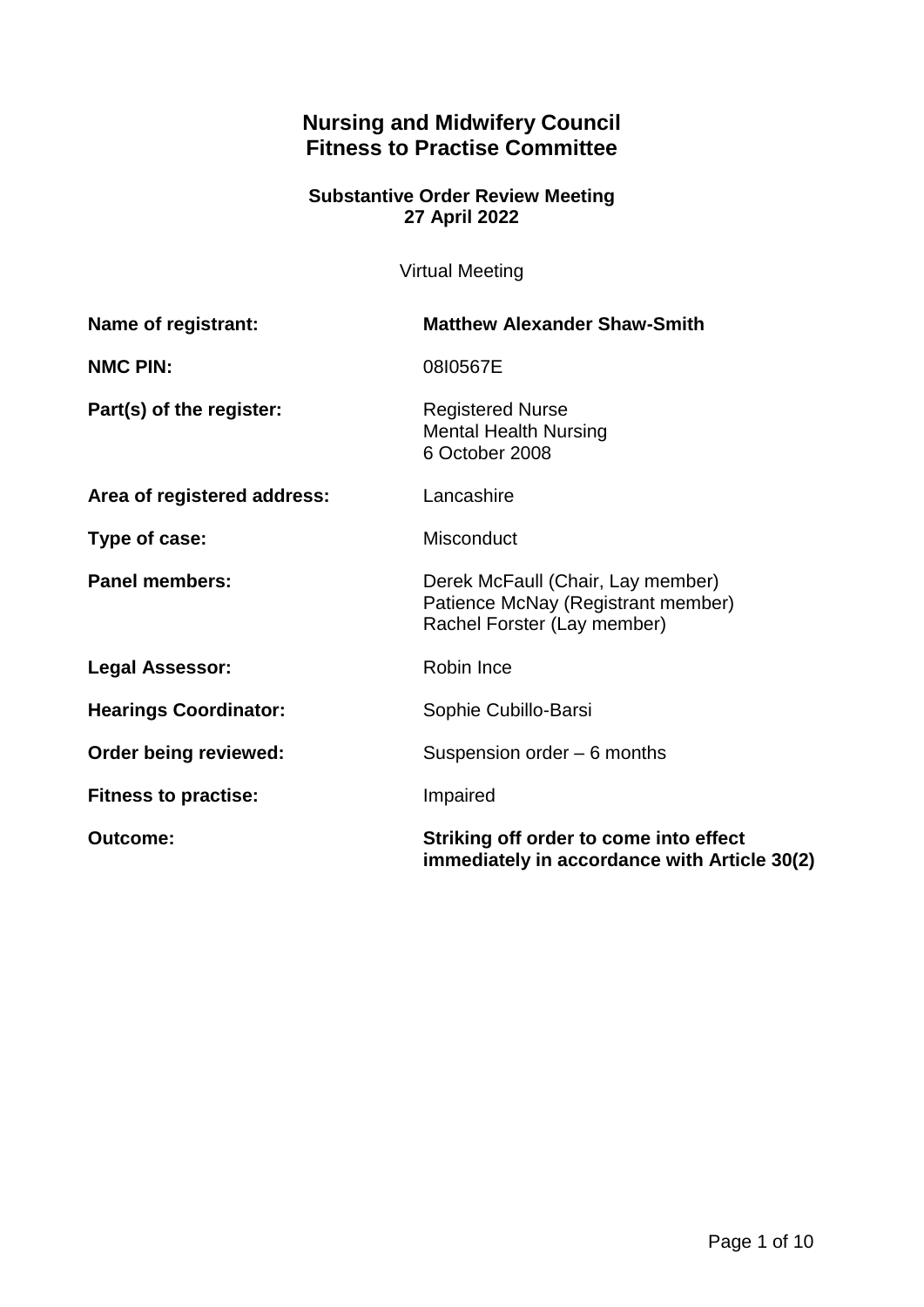# **Nursing and Midwifery Council Fitness to Practise Committee**

## **Substantive Order Review Meeting 27 April 2022**

Virtual Meeting

| Name of registrant:          | <b>Matthew Alexander Shaw-Smith</b>                                                                    |
|------------------------------|--------------------------------------------------------------------------------------------------------|
| <b>NMC PIN:</b>              | 0810567E                                                                                               |
| Part(s) of the register:     | <b>Registered Nurse</b><br><b>Mental Health Nursing</b><br>6 October 2008                              |
| Area of registered address:  | Lancashire                                                                                             |
| Type of case:                | Misconduct                                                                                             |
| <b>Panel members:</b>        | Derek McFaull (Chair, Lay member)<br>Patience McNay (Registrant member)<br>Rachel Forster (Lay member) |
| <b>Legal Assessor:</b>       | Robin Ince                                                                                             |
| <b>Hearings Coordinator:</b> | Sophie Cubillo-Barsi                                                                                   |
| Order being reviewed:        | Suspension order - 6 months                                                                            |
| <b>Fitness to practise:</b>  | Impaired                                                                                               |
| <b>Outcome:</b>              | Striking off order to come into effect<br>immediately in accordance with Article 30(2)                 |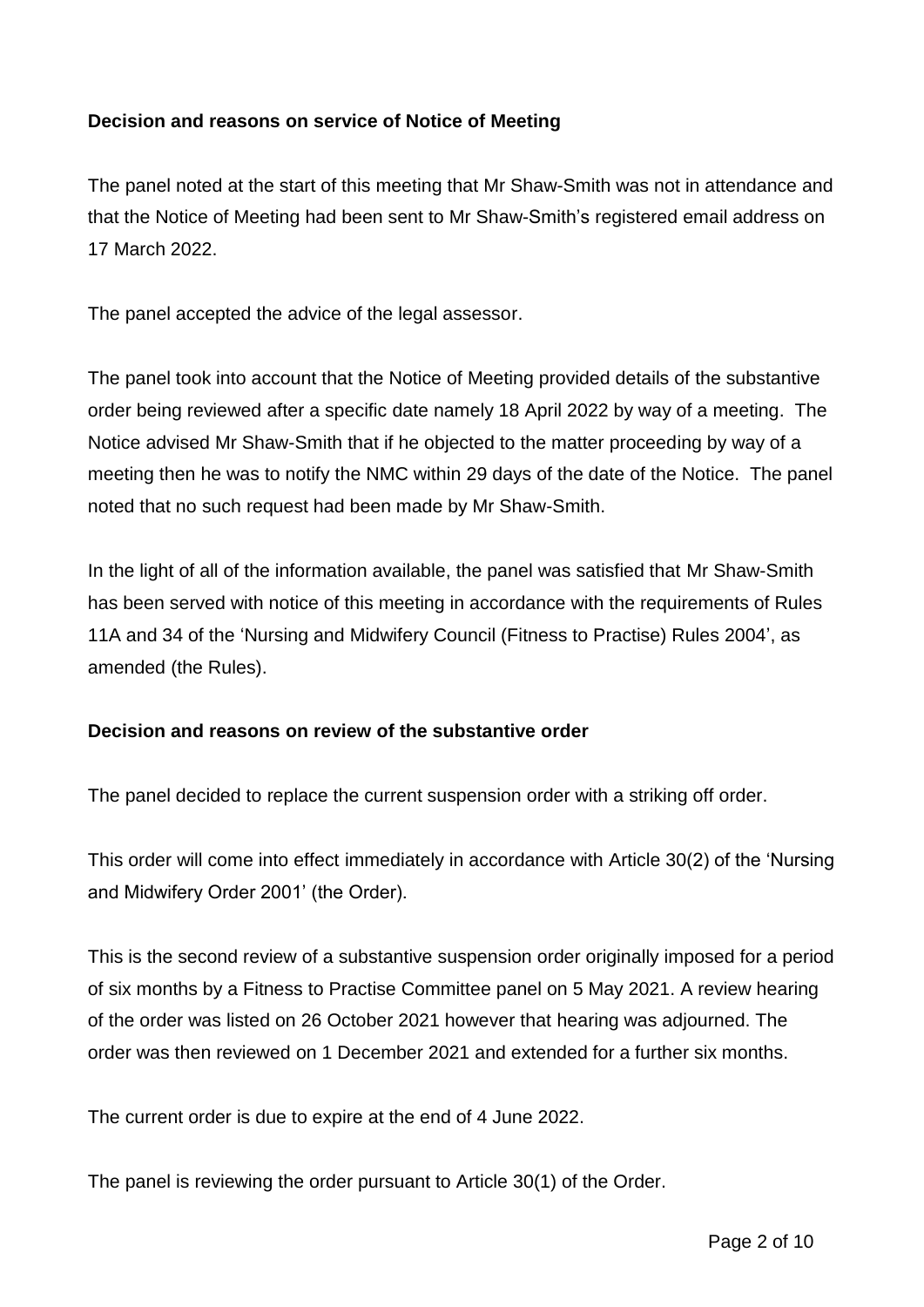## **Decision and reasons on service of Notice of Meeting**

The panel noted at the start of this meeting that Mr Shaw-Smith was not in attendance and that the Notice of Meeting had been sent to Mr Shaw-Smith's registered email address on 17 March 2022.

The panel accepted the advice of the legal assessor.

The panel took into account that the Notice of Meeting provided details of the substantive order being reviewed after a specific date namely 18 April 2022 by way of a meeting. The Notice advised Mr Shaw-Smith that if he objected to the matter proceeding by way of a meeting then he was to notify the NMC within 29 days of the date of the Notice. The panel noted that no such request had been made by Mr Shaw-Smith.

In the light of all of the information available, the panel was satisfied that Mr Shaw-Smith has been served with notice of this meeting in accordance with the requirements of Rules 11A and 34 of the 'Nursing and Midwifery Council (Fitness to Practise) Rules 2004', as amended (the Rules).

#### **Decision and reasons on review of the substantive order**

The panel decided to replace the current suspension order with a striking off order.

This order will come into effect immediately in accordance with Article 30(2) of the 'Nursing and Midwifery Order 2001' (the Order).

This is the second review of a substantive suspension order originally imposed for a period of six months by a Fitness to Practise Committee panel on 5 May 2021. A review hearing of the order was listed on 26 October 2021 however that hearing was adjourned. The order was then reviewed on 1 December 2021 and extended for a further six months.

The current order is due to expire at the end of 4 June 2022.

The panel is reviewing the order pursuant to Article 30(1) of the Order.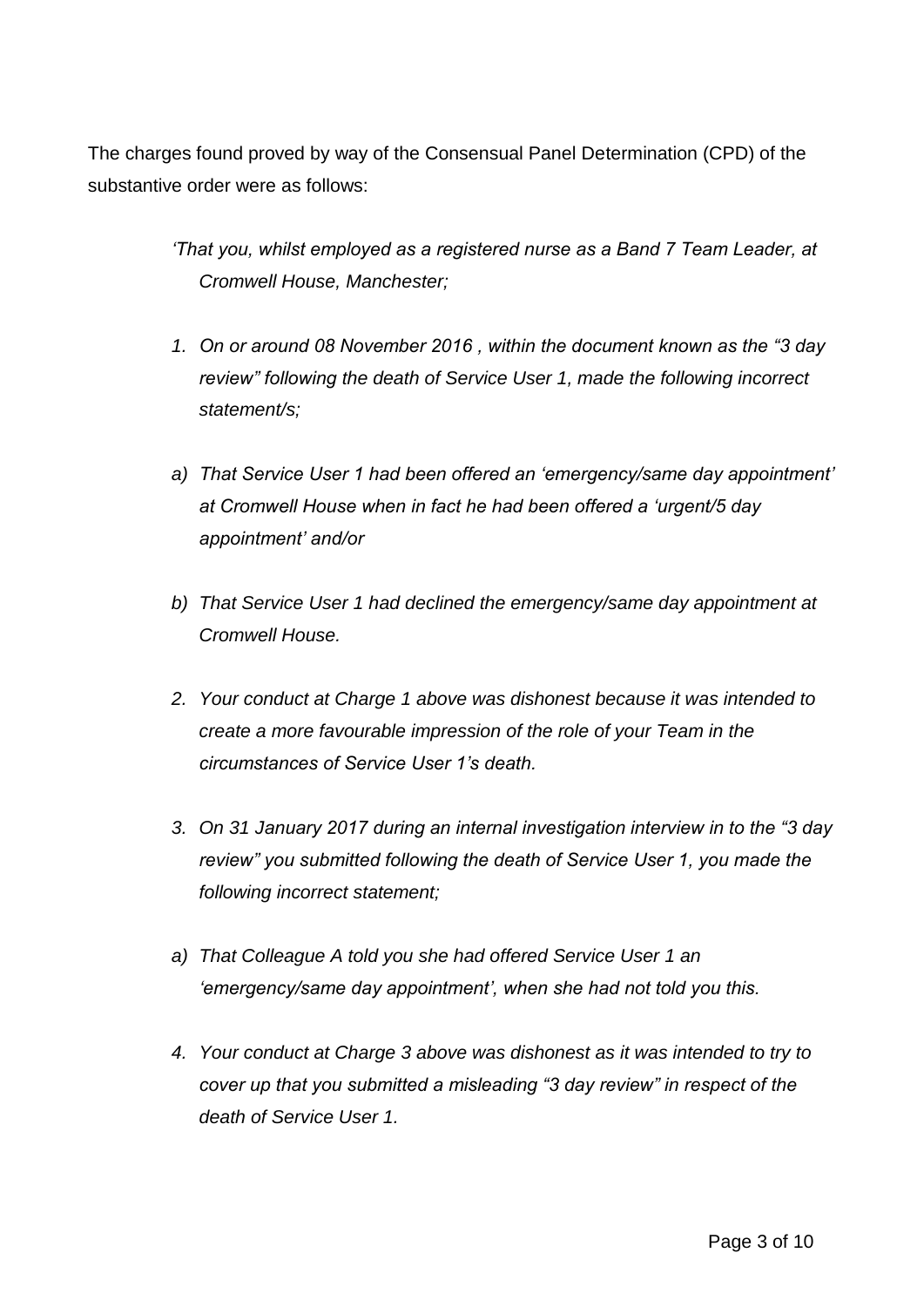The charges found proved by way of the Consensual Panel Determination (CPD) of the substantive order were as follows:

> *'That you, whilst employed as a registered nurse as a Band 7 Team Leader, at Cromwell House, Manchester;*

- *1. On or around 08 November 2016 , within the document known as the "3 day review" following the death of Service User 1, made the following incorrect statement/s;*
- *a) That Service User 1 had been offered an 'emergency/same day appointment' at Cromwell House when in fact he had been offered a 'urgent/5 day appointment' and/or*
- *b) That Service User 1 had declined the emergency/same day appointment at Cromwell House.*
- *2. Your conduct at Charge 1 above was dishonest because it was intended to create a more favourable impression of the role of your Team in the circumstances of Service User 1's death.*
- *3. On 31 January 2017 during an internal investigation interview in to the "3 day review" you submitted following the death of Service User 1, you made the following incorrect statement;*
- *a) That Colleague A told you she had offered Service User 1 an 'emergency/same day appointment', when she had not told you this.*
- *4. Your conduct at Charge 3 above was dishonest as it was intended to try to cover up that you submitted a misleading "3 day review" in respect of the death of Service User 1.*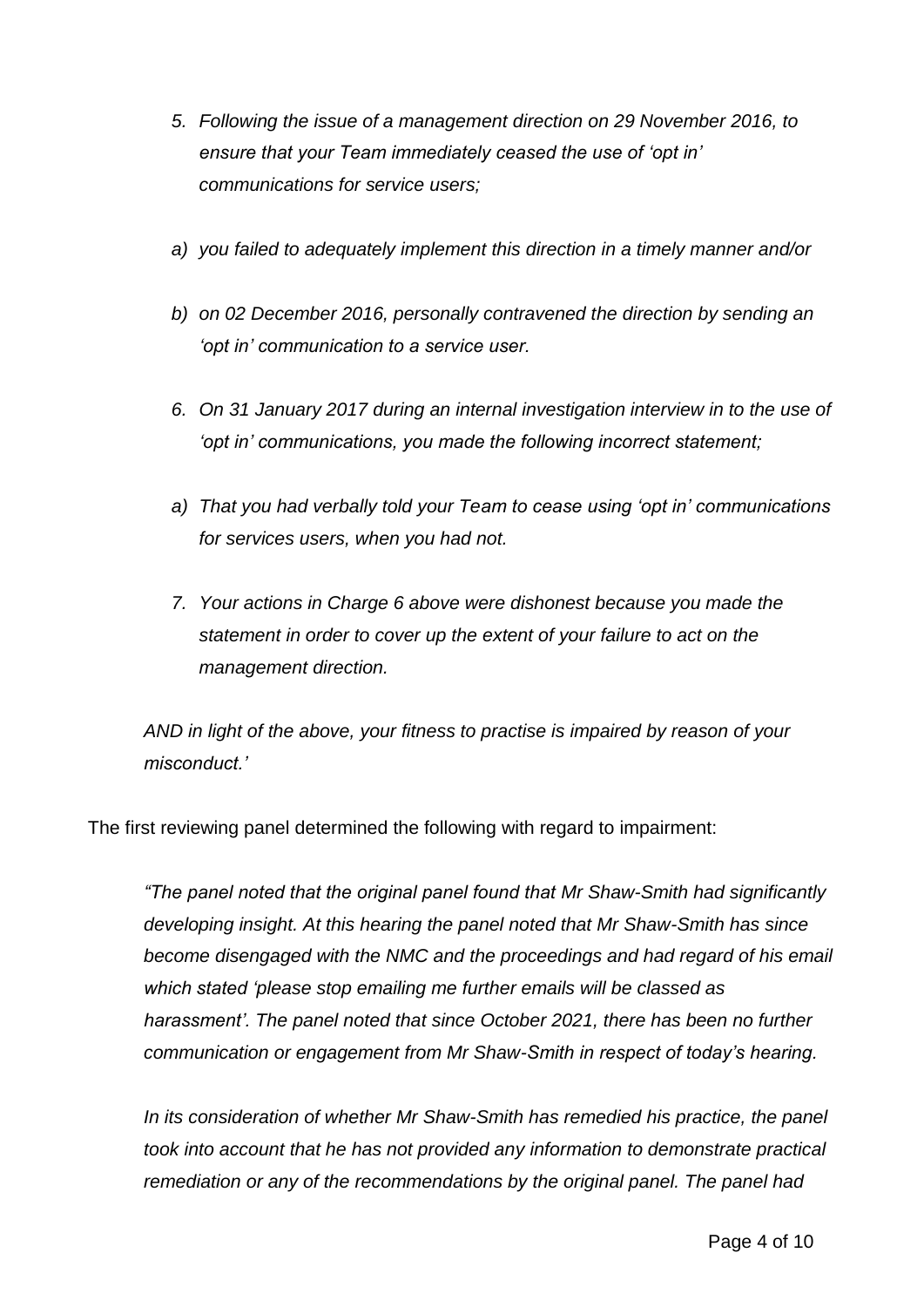- *5. Following the issue of a management direction on 29 November 2016, to ensure that your Team immediately ceased the use of 'opt in' communications for service users;*
- *a) you failed to adequately implement this direction in a timely manner and/or*
- *b) on 02 December 2016, personally contravened the direction by sending an 'opt in' communication to a service user.*
- *6. On 31 January 2017 during an internal investigation interview in to the use of 'opt in' communications, you made the following incorrect statement;*
- *a) That you had verbally told your Team to cease using 'opt in' communications for services users, when you had not.*
- *7. Your actions in Charge 6 above were dishonest because you made the statement in order to cover up the extent of your failure to act on the management direction.*

*AND in light of the above, your fitness to practise is impaired by reason of your misconduct.'* 

The first reviewing panel determined the following with regard to impairment:

*"The panel noted that the original panel found that Mr Shaw-Smith had significantly developing insight. At this hearing the panel noted that Mr Shaw-Smith has since become disengaged with the NMC and the proceedings and had regard of his email which stated 'please stop emailing me further emails will be classed as harassment'. The panel noted that since October 2021, there has been no further communication or engagement from Mr Shaw-Smith in respect of today's hearing.* 

In its consideration of whether Mr Shaw-Smith has remedied his practice, the panel *took into account that he has not provided any information to demonstrate practical remediation or any of the recommendations by the original panel. The panel had*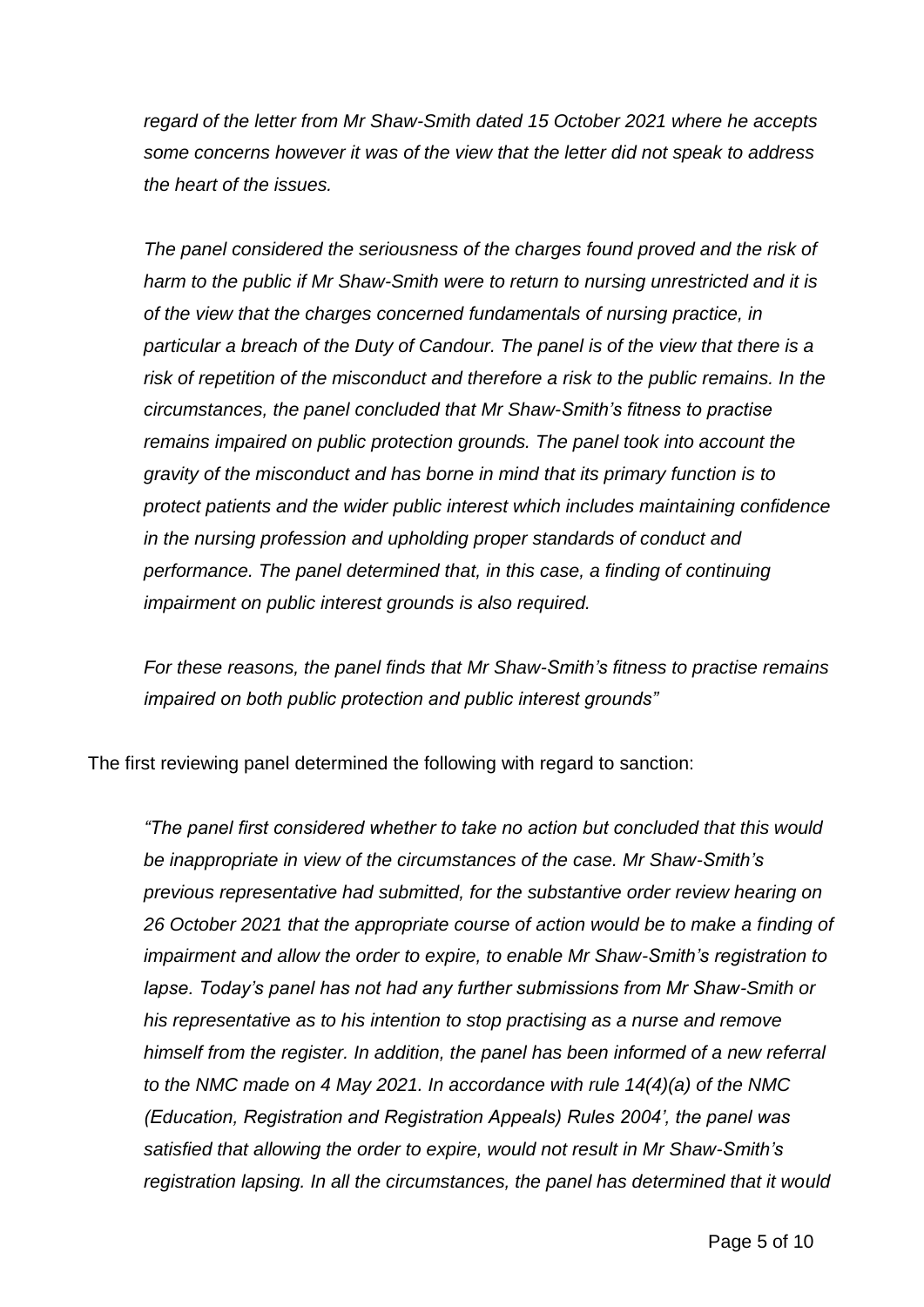*regard of the letter from Mr Shaw-Smith dated 15 October 2021 where he accepts some concerns however it was of the view that the letter did not speak to address the heart of the issues.* 

*The panel considered the seriousness of the charges found proved and the risk of harm to the public if Mr Shaw-Smith were to return to nursing unrestricted and it is of the view that the charges concerned fundamentals of nursing practice, in particular a breach of the Duty of Candour. The panel is of the view that there is a risk of repetition of the misconduct and therefore a risk to the public remains. In the circumstances, the panel concluded that Mr Shaw-Smith's fitness to practise remains impaired on public protection grounds. The panel took into account the gravity of the misconduct and has borne in mind that its primary function is to protect patients and the wider public interest which includes maintaining confidence in the nursing profession and upholding proper standards of conduct and performance. The panel determined that, in this case, a finding of continuing impairment on public interest grounds is also required.*

*For these reasons, the panel finds that Mr Shaw-Smith's fitness to practise remains impaired on both public protection and public interest grounds"*

The first reviewing panel determined the following with regard to sanction:

*"The panel first considered whether to take no action but concluded that this would be inappropriate in view of the circumstances of the case. Mr Shaw-Smith's previous representative had submitted, for the substantive order review hearing on 26 October 2021 that the appropriate course of action would be to make a finding of impairment and allow the order to expire, to enable Mr Shaw-Smith's registration to lapse. Today's panel has not had any further submissions from Mr Shaw-Smith or his representative as to his intention to stop practising as a nurse and remove himself from the register. In addition, the panel has been informed of a new referral to the NMC made on 4 May 2021. In accordance with rule 14(4)(a) of the NMC (Education, Registration and Registration Appeals) Rules 2004', the panel was satisfied that allowing the order to expire, would not result in Mr Shaw-Smith's registration lapsing. In all the circumstances, the panel has determined that it would*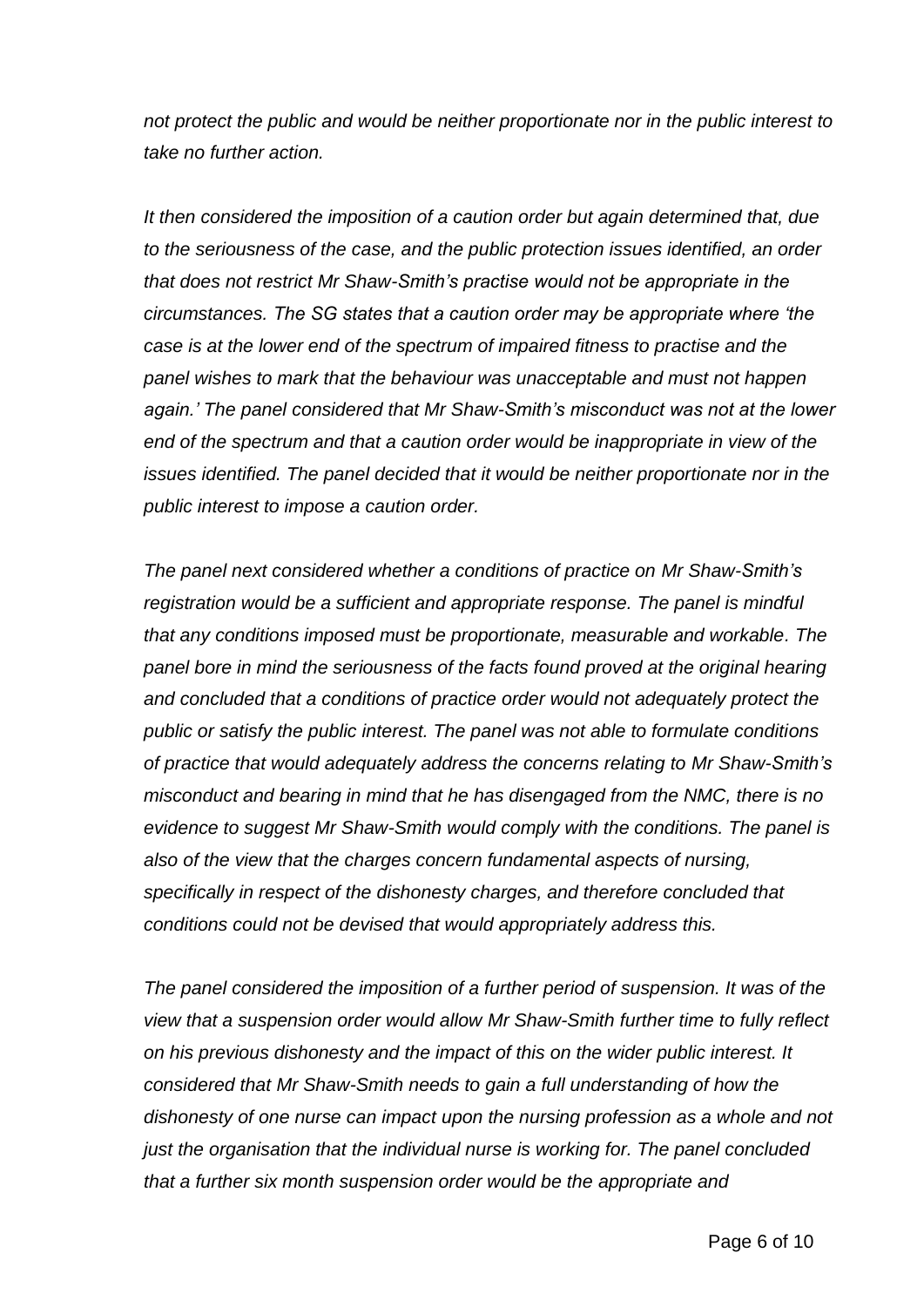*not protect the public and would be neither proportionate nor in the public interest to take no further action.* 

*It then considered the imposition of a caution order but again determined that, due to the seriousness of the case, and the public protection issues identified, an order that does not restrict Mr Shaw-Smith's practise would not be appropriate in the circumstances. The SG states that a caution order may be appropriate where 'the case is at the lower end of the spectrum of impaired fitness to practise and the panel wishes to mark that the behaviour was unacceptable and must not happen again.' The panel considered that Mr Shaw-Smith's misconduct was not at the lower end of the spectrum and that a caution order would be inappropriate in view of the issues identified. The panel decided that it would be neither proportionate nor in the public interest to impose a caution order.*

*The panel next considered whether a conditions of practice on Mr Shaw-Smith's registration would be a sufficient and appropriate response. The panel is mindful that any conditions imposed must be proportionate, measurable and workable. The panel bore in mind the seriousness of the facts found proved at the original hearing and concluded that a conditions of practice order would not adequately protect the public or satisfy the public interest. The panel was not able to formulate conditions of practice that would adequately address the concerns relating to Mr Shaw-Smith's misconduct and bearing in mind that he has disengaged from the NMC, there is no evidence to suggest Mr Shaw-Smith would comply with the conditions. The panel is also of the view that the charges concern fundamental aspects of nursing, specifically in respect of the dishonesty charges, and therefore concluded that conditions could not be devised that would appropriately address this.* 

*The panel considered the imposition of a further period of suspension. It was of the view that a suspension order would allow Mr Shaw-Smith further time to fully reflect on his previous dishonesty and the impact of this on the wider public interest. It considered that Mr Shaw-Smith needs to gain a full understanding of how the dishonesty of one nurse can impact upon the nursing profession as a whole and not just the organisation that the individual nurse is working for. The panel concluded that a further six month suspension order would be the appropriate and*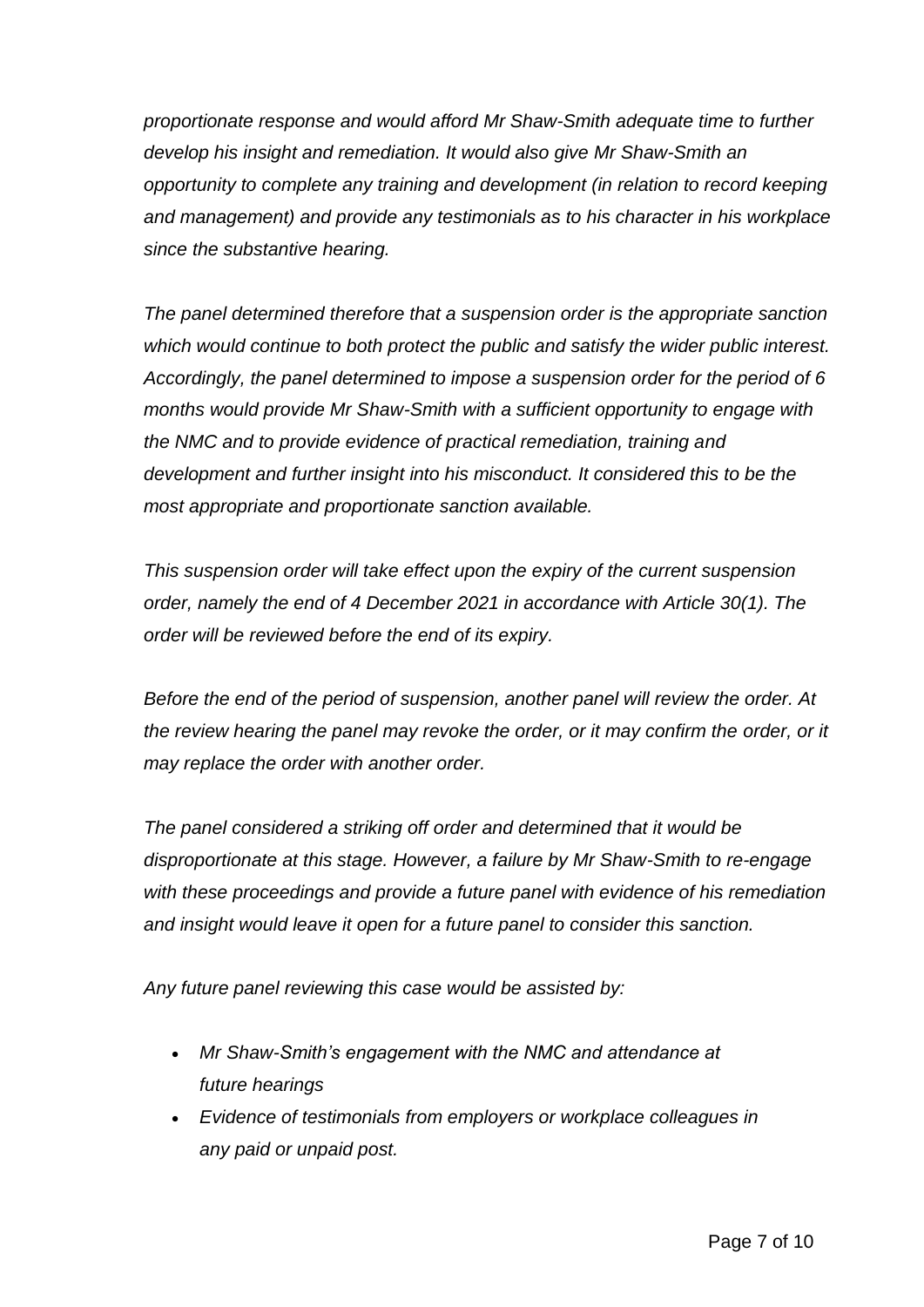*proportionate response and would afford Mr Shaw-Smith adequate time to further develop his insight and remediation. It would also give Mr Shaw-Smith an opportunity to complete any training and development (in relation to record keeping and management) and provide any testimonials as to his character in his workplace since the substantive hearing.*

*The panel determined therefore that a suspension order is the appropriate sanction which would continue to both protect the public and satisfy the wider public interest. Accordingly, the panel determined to impose a suspension order for the period of 6 months would provide Mr Shaw-Smith with a sufficient opportunity to engage with the NMC and to provide evidence of practical remediation, training and development and further insight into his misconduct. It considered this to be the most appropriate and proportionate sanction available.* 

*This suspension order will take effect upon the expiry of the current suspension order, namely the end of 4 December 2021 in accordance with Article 30(1). The order will be reviewed before the end of its expiry.*

*Before the end of the period of suspension, another panel will review the order. At the review hearing the panel may revoke the order, or it may confirm the order, or it may replace the order with another order.* 

*The panel considered a striking off order and determined that it would be disproportionate at this stage. However, a failure by Mr Shaw-Smith to re-engage with these proceedings and provide a future panel with evidence of his remediation and insight would leave it open for a future panel to consider this sanction.* 

*Any future panel reviewing this case would be assisted by:*

- *Mr Shaw-Smith's engagement with the NMC and attendance at future hearings*
- *Evidence of testimonials from employers or workplace colleagues in any paid or unpaid post.*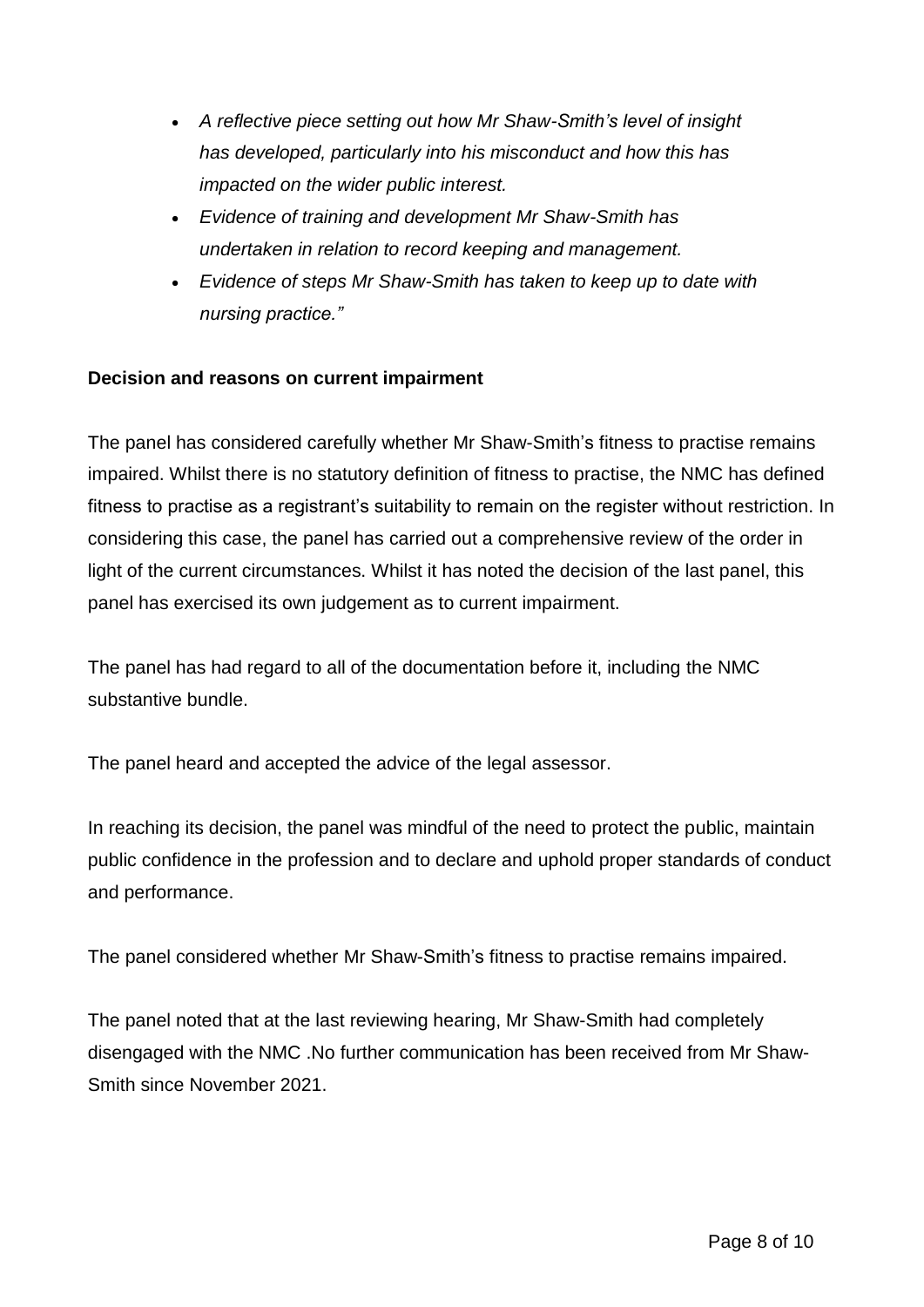- *A reflective piece setting out how Mr Shaw-Smith's level of insight has developed, particularly into his misconduct and how this has impacted on the wider public interest.*
- *Evidence of training and development Mr Shaw-Smith has undertaken in relation to record keeping and management.*
- *Evidence of steps Mr Shaw-Smith has taken to keep up to date with nursing practice."*

## **Decision and reasons on current impairment**

The panel has considered carefully whether Mr Shaw-Smith's fitness to practise remains impaired. Whilst there is no statutory definition of fitness to practise, the NMC has defined fitness to practise as a registrant's suitability to remain on the register without restriction. In considering this case, the panel has carried out a comprehensive review of the order in light of the current circumstances. Whilst it has noted the decision of the last panel, this panel has exercised its own judgement as to current impairment.

The panel has had regard to all of the documentation before it, including the NMC substantive bundle.

The panel heard and accepted the advice of the legal assessor.

In reaching its decision, the panel was mindful of the need to protect the public, maintain public confidence in the profession and to declare and uphold proper standards of conduct and performance.

The panel considered whether Mr Shaw-Smith's fitness to practise remains impaired.

The panel noted that at the last reviewing hearing, Mr Shaw-Smith had completely disengaged with the NMC .No further communication has been received from Mr Shaw-Smith since November 2021.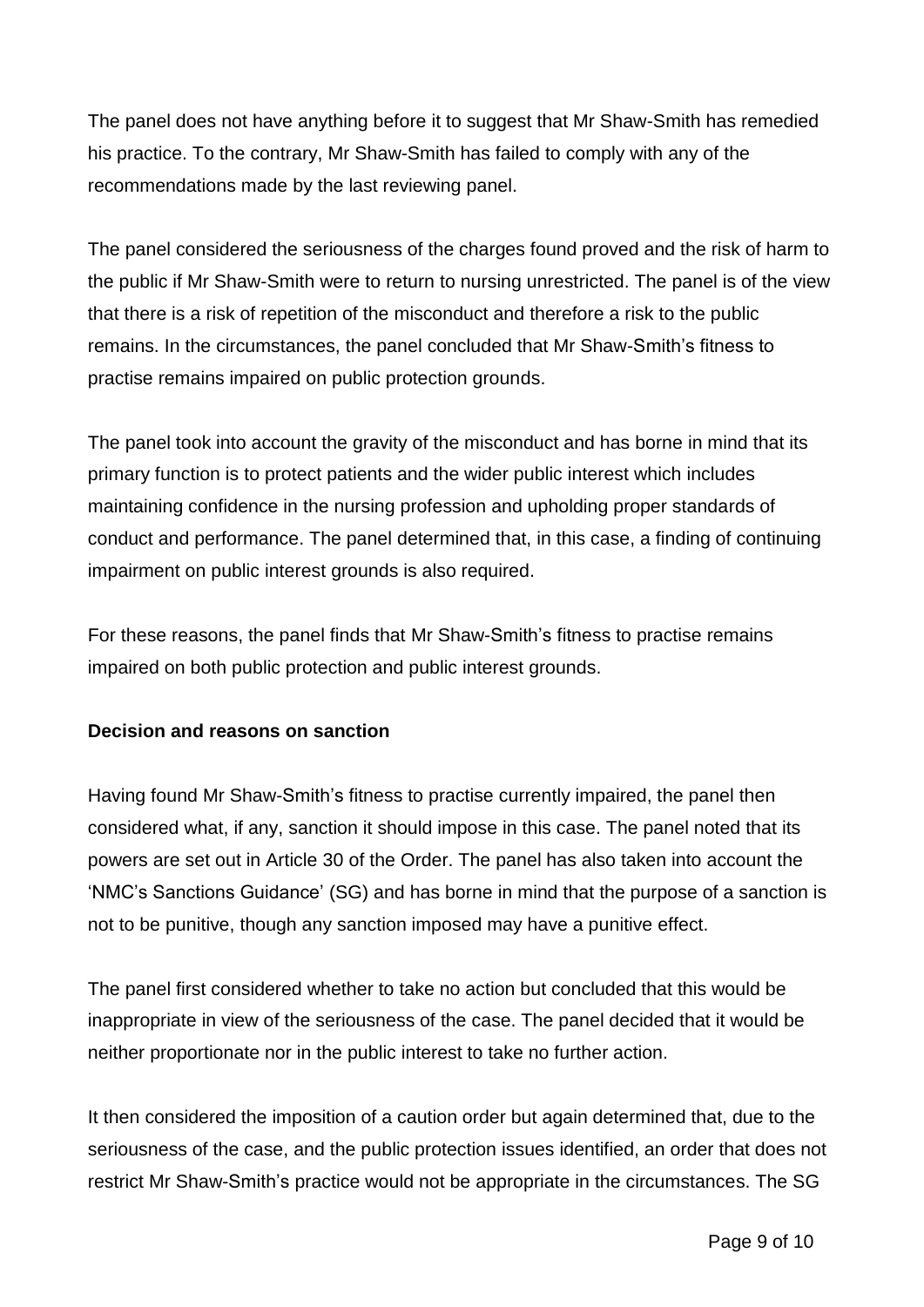The panel does not have anything before it to suggest that Mr Shaw-Smith has remedied his practice. To the contrary, Mr Shaw-Smith has failed to comply with any of the recommendations made by the last reviewing panel.

The panel considered the seriousness of the charges found proved and the risk of harm to the public if Mr Shaw-Smith were to return to nursing unrestricted. The panel is of the view that there is a risk of repetition of the misconduct and therefore a risk to the public remains. In the circumstances, the panel concluded that Mr Shaw-Smith's fitness to practise remains impaired on public protection grounds.

The panel took into account the gravity of the misconduct and has borne in mind that its primary function is to protect patients and the wider public interest which includes maintaining confidence in the nursing profession and upholding proper standards of conduct and performance. The panel determined that, in this case, a finding of continuing impairment on public interest grounds is also required.

For these reasons, the panel finds that Mr Shaw-Smith's fitness to practise remains impaired on both public protection and public interest grounds.

## **Decision and reasons on sanction**

Having found Mr Shaw-Smith's fitness to practise currently impaired, the panel then considered what, if any, sanction it should impose in this case. The panel noted that its powers are set out in Article 30 of the Order. The panel has also taken into account the 'NMC's Sanctions Guidance' (SG) and has borne in mind that the purpose of a sanction is not to be punitive, though any sanction imposed may have a punitive effect.

The panel first considered whether to take no action but concluded that this would be inappropriate in view of the seriousness of the case. The panel decided that it would be neither proportionate nor in the public interest to take no further action.

It then considered the imposition of a caution order but again determined that, due to the seriousness of the case, and the public protection issues identified, an order that does not restrict Mr Shaw-Smith's practice would not be appropriate in the circumstances. The SG